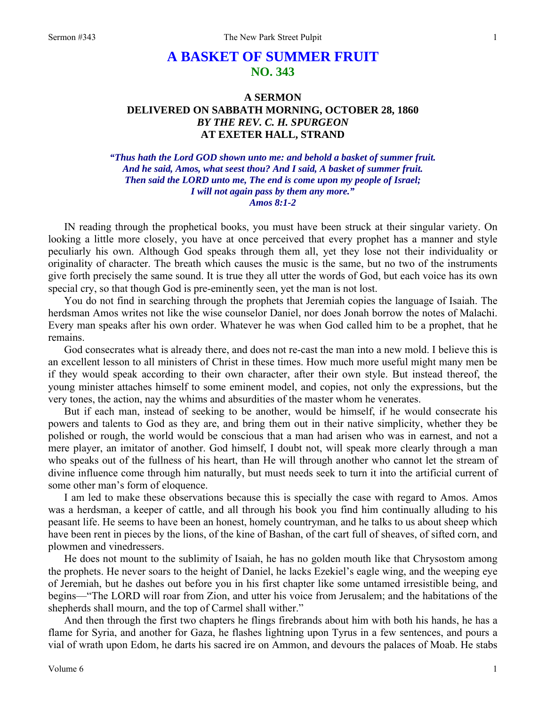## **A BASKET OF SUMMER FRUIT NO. 343**

## **A SERMON DELIVERED ON SABBATH MORNING, OCTOBER 28, 1860**  *BY THE REV. C. H. SPURGEON*  **AT EXETER HALL, STRAND**

*"Thus hath the Lord GOD shown unto me: and behold a basket of summer fruit. And he said, Amos, what seest thou? And I said, A basket of summer fruit. Then said the LORD unto me, The end is come upon my people of Israel; I will not again pass by them any more." Amos 8:1-2* 

IN reading through the prophetical books, you must have been struck at their singular variety. On looking a little more closely, you have at once perceived that every prophet has a manner and style peculiarly his own. Although God speaks through them all, yet they lose not their individuality or originality of character. The breath which causes the music is the same, but no two of the instruments give forth precisely the same sound. It is true they all utter the words of God, but each voice has its own special cry, so that though God is pre-eminently seen, yet the man is not lost.

You do not find in searching through the prophets that Jeremiah copies the language of Isaiah. The herdsman Amos writes not like the wise counselor Daniel, nor does Jonah borrow the notes of Malachi. Every man speaks after his own order. Whatever he was when God called him to be a prophet, that he remains.

God consecrates what is already there, and does not re-cast the man into a new mold. I believe this is an excellent lesson to all ministers of Christ in these times. How much more useful might many men be if they would speak according to their own character, after their own style. But instead thereof, the young minister attaches himself to some eminent model, and copies, not only the expressions, but the very tones, the action, nay the whims and absurdities of the master whom he venerates.

But if each man, instead of seeking to be another, would be himself, if he would consecrate his powers and talents to God as they are, and bring them out in their native simplicity, whether they be polished or rough, the world would be conscious that a man had arisen who was in earnest, and not a mere player, an imitator of another. God himself, I doubt not, will speak more clearly through a man who speaks out of the fullness of his heart, than He will through another who cannot let the stream of divine influence come through him naturally, but must needs seek to turn it into the artificial current of some other man's form of eloquence.

I am led to make these observations because this is specially the case with regard to Amos. Amos was a herdsman, a keeper of cattle, and all through his book you find him continually alluding to his peasant life. He seems to have been an honest, homely countryman, and he talks to us about sheep which have been rent in pieces by the lions, of the kine of Bashan, of the cart full of sheaves, of sifted corn, and plowmen and vinedressers.

He does not mount to the sublimity of Isaiah, he has no golden mouth like that Chrysostom among the prophets. He never soars to the height of Daniel, he lacks Ezekiel's eagle wing, and the weeping eye of Jeremiah, but he dashes out before you in his first chapter like some untamed irresistible being, and begins—"The LORD will roar from Zion, and utter his voice from Jerusalem; and the habitations of the shepherds shall mourn, and the top of Carmel shall wither."

And then through the first two chapters he flings firebrands about him with both his hands, he has a flame for Syria, and another for Gaza, he flashes lightning upon Tyrus in a few sentences, and pours a vial of wrath upon Edom, he darts his sacred ire on Ammon, and devours the palaces of Moab. He stabs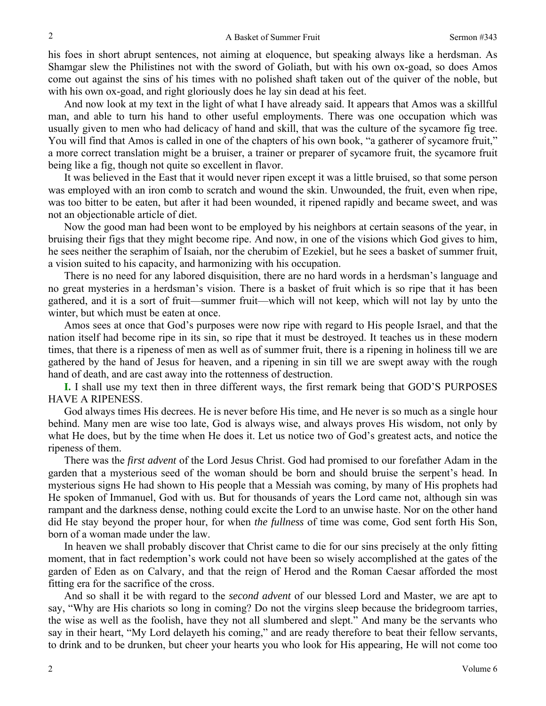his foes in short abrupt sentences, not aiming at eloquence, but speaking always like a herdsman. As Shamgar slew the Philistines not with the sword of Goliath, but with his own ox-goad, so does Amos come out against the sins of his times with no polished shaft taken out of the quiver of the noble, but with his own ox-goad, and right gloriously does he lay sin dead at his feet.

And now look at my text in the light of what I have already said. It appears that Amos was a skillful man, and able to turn his hand to other useful employments. There was one occupation which was usually given to men who had delicacy of hand and skill, that was the culture of the sycamore fig tree. You will find that Amos is called in one of the chapters of his own book, "a gatherer of sycamore fruit," a more correct translation might be a bruiser, a trainer or preparer of sycamore fruit, the sycamore fruit being like a fig, though not quite so excellent in flavor.

It was believed in the East that it would never ripen except it was a little bruised, so that some person was employed with an iron comb to scratch and wound the skin. Unwounded, the fruit, even when ripe, was too bitter to be eaten, but after it had been wounded, it ripened rapidly and became sweet, and was not an objectionable article of diet.

Now the good man had been wont to be employed by his neighbors at certain seasons of the year, in bruising their figs that they might become ripe. And now, in one of the visions which God gives to him, he sees neither the seraphim of Isaiah, nor the cherubim of Ezekiel, but he sees a basket of summer fruit, a vision suited to his capacity, and harmonizing with his occupation.

There is no need for any labored disquisition, there are no hard words in a herdsman's language and no great mysteries in a herdsman's vision. There is a basket of fruit which is so ripe that it has been gathered, and it is a sort of fruit—summer fruit—which will not keep, which will not lay by unto the winter, but which must be eaten at once.

Amos sees at once that God's purposes were now ripe with regard to His people Israel, and that the nation itself had become ripe in its sin, so ripe that it must be destroyed. It teaches us in these modern times, that there is a ripeness of men as well as of summer fruit, there is a ripening in holiness till we are gathered by the hand of Jesus for heaven, and a ripening in sin till we are swept away with the rough hand of death, and are cast away into the rottenness of destruction.

**I.** I shall use my text then in three different ways, the first remark being that GOD'S PURPOSES HAVE A RIPENESS.

God always times His decrees. He is never before His time, and He never is so much as a single hour behind. Many men are wise too late, God is always wise, and always proves His wisdom, not only by what He does, but by the time when He does it. Let us notice two of God's greatest acts, and notice the ripeness of them.

There was the *first advent* of the Lord Jesus Christ. God had promised to our forefather Adam in the garden that a mysterious seed of the woman should be born and should bruise the serpent's head. In mysterious signs He had shown to His people that a Messiah was coming, by many of His prophets had He spoken of Immanuel, God with us. But for thousands of years the Lord came not, although sin was rampant and the darkness dense, nothing could excite the Lord to an unwise haste. Nor on the other hand did He stay beyond the proper hour, for when *the fullness* of time was come, God sent forth His Son, born of a woman made under the law.

In heaven we shall probably discover that Christ came to die for our sins precisely at the only fitting moment, that in fact redemption's work could not have been so wisely accomplished at the gates of the garden of Eden as on Calvary, and that the reign of Herod and the Roman Caesar afforded the most fitting era for the sacrifice of the cross.

And so shall it be with regard to the *second advent* of our blessed Lord and Master, we are apt to say, "Why are His chariots so long in coming? Do not the virgins sleep because the bridegroom tarries, the wise as well as the foolish, have they not all slumbered and slept." And many be the servants who say in their heart, "My Lord delayeth his coming," and are ready therefore to beat their fellow servants, to drink and to be drunken, but cheer your hearts you who look for His appearing, He will not come too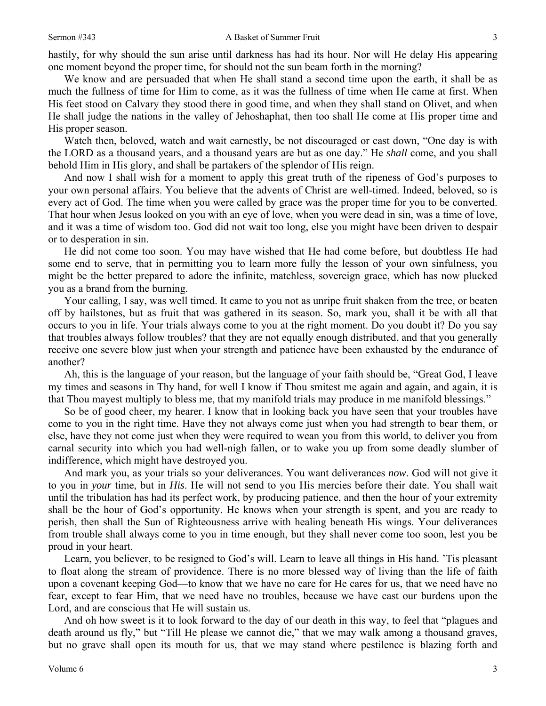hastily, for why should the sun arise until darkness has had its hour. Nor will He delay His appearing one moment beyond the proper time, for should not the sun beam forth in the morning?

We know and are persuaded that when He shall stand a second time upon the earth, it shall be as much the fullness of time for Him to come, as it was the fullness of time when He came at first. When His feet stood on Calvary they stood there in good time, and when they shall stand on Olivet, and when He shall judge the nations in the valley of Jehoshaphat, then too shall He come at His proper time and His proper season.

Watch then, beloved, watch and wait earnestly, be not discouraged or cast down, "One day is with the LORD as a thousand years, and a thousand years are but as one day." He *shall* come, and you shall behold Him in His glory, and shall be partakers of the splendor of His reign.

And now I shall wish for a moment to apply this great truth of the ripeness of God's purposes to your own personal affairs. You believe that the advents of Christ are well-timed. Indeed, beloved, so is every act of God. The time when you were called by grace was the proper time for you to be converted. That hour when Jesus looked on you with an eye of love, when you were dead in sin, was a time of love, and it was a time of wisdom too. God did not wait too long, else you might have been driven to despair or to desperation in sin.

He did not come too soon. You may have wished that He had come before, but doubtless He had some end to serve, that in permitting you to learn more fully the lesson of your own sinfulness, you might be the better prepared to adore the infinite, matchless, sovereign grace, which has now plucked you as a brand from the burning.

Your calling, I say, was well timed. It came to you not as unripe fruit shaken from the tree, or beaten off by hailstones, but as fruit that was gathered in its season. So, mark you, shall it be with all that occurs to you in life. Your trials always come to you at the right moment. Do you doubt it? Do you say that troubles always follow troubles? that they are not equally enough distributed, and that you generally receive one severe blow just when your strength and patience have been exhausted by the endurance of another?

Ah, this is the language of your reason, but the language of your faith should be, "Great God, I leave my times and seasons in Thy hand, for well I know if Thou smitest me again and again, and again, it is that Thou mayest multiply to bless me, that my manifold trials may produce in me manifold blessings."

So be of good cheer, my hearer. I know that in looking back you have seen that your troubles have come to you in the right time. Have they not always come just when you had strength to bear them, or else, have they not come just when they were required to wean you from this world, to deliver you from carnal security into which you had well-nigh fallen, or to wake you up from some deadly slumber of indifference, which might have destroyed you.

And mark you, as your trials so your deliverances. You want deliverances *now*. God will not give it to you in *your* time, but in *His*. He will not send to you His mercies before their date. You shall wait until the tribulation has had its perfect work, by producing patience, and then the hour of your extremity shall be the hour of God's opportunity. He knows when your strength is spent, and you are ready to perish, then shall the Sun of Righteousness arrive with healing beneath His wings. Your deliverances from trouble shall always come to you in time enough, but they shall never come too soon, lest you be proud in your heart.

Learn, you believer, to be resigned to God's will. Learn to leave all things in His hand. 'Tis pleasant to float along the stream of providence. There is no more blessed way of living than the life of faith upon a covenant keeping God—to know that we have no care for He cares for us, that we need have no fear, except to fear Him, that we need have no troubles, because we have cast our burdens upon the Lord, and are conscious that He will sustain us.

And oh how sweet is it to look forward to the day of our death in this way, to feel that "plagues and death around us fly," but "Till He please we cannot die," that we may walk among a thousand graves, but no grave shall open its mouth for us, that we may stand where pestilence is blazing forth and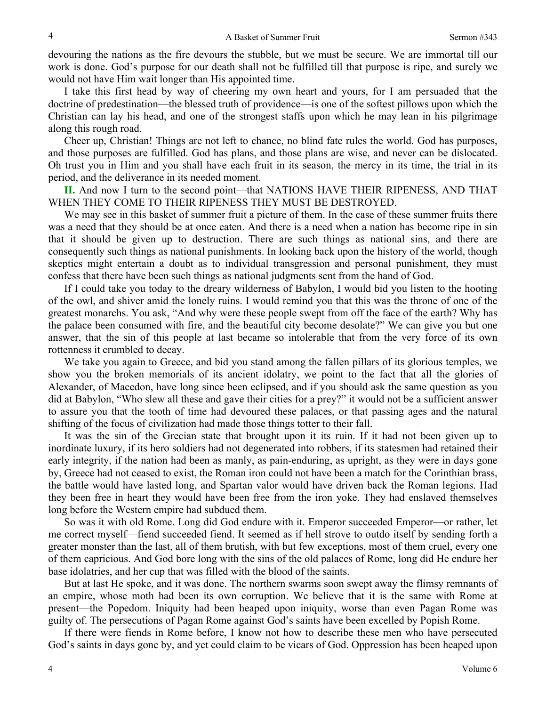devouring the nations as the fire devours the stubble, but we must be secure. We are immortal till our work is done. God's purpose for our death shall not be fulfilled till that purpose is ripe, and surely we would not have Him wait longer than His appointed time.

I take this first head by way of cheering my own heart and yours, for I am persuaded that the doctrine of predestination—the blessed truth of providence—is one of the softest pillows upon which the Christian can lay his head, and one of the strongest staffs upon which he may lean in his pilgrimage along this rough road.

Cheer up, Christian! Things are not left to chance, no blind fate rules the world. God has purposes, and those purposes are fulfilled. God has plans, and those plans are wise, and never can be dislocated. Oh trust you in Him and you shall have each fruit in its season, the mercy in its time, the trial in its period, and the deliverance in its needed moment.

**II.** And now I turn to the second point—that NATIONS HAVE THEIR RIPENESS, AND THAT WHEN THEY COME TO THEIR RIPENESS THEY MUST BE DESTROYED.

We may see in this basket of summer fruit a picture of them. In the case of these summer fruits there was a need that they should be at once eaten. And there is a need when a nation has become ripe in sin that it should be given up to destruction. There are such things as national sins, and there are consequently such things as national punishments. In looking back upon the history of the world, though skeptics might entertain a doubt as to individual transgression and personal punishment, they must confess that there have been such things as national judgments sent from the hand of God.

If I could take you today to the dreary wilderness of Babylon, I would bid you listen to the hooting of the owl, and shiver amid the lonely ruins. I would remind you that this was the throne of one of the greatest monarchs. You ask, "And why were these people swept from off the face of the earth? Why has the palace been consumed with fire, and the beautiful city become desolate?" We can give you but one answer, that the sin of this people at last became so intolerable that from the very force of its own rottenness it crumbled to decay.

We take you again to Greece, and bid you stand among the fallen pillars of its glorious temples, we show you the broken memorials of its ancient idolatry, we point to the fact that all the glories of Alexander, of Macedon, have long since been eclipsed, and if you should ask the same question as you did at Babylon, "Who slew all these and gave their cities for a prey?" it would not be a sufficient answer to assure you that the tooth of time had devoured these palaces, or that passing ages and the natural shifting of the focus of civilization had made those things totter to their fall.

It was the sin of the Grecian state that brought upon it its ruin. If it had not been given up to inordinate luxury, if its hero soldiers had not degenerated into robbers, if its statesmen had retained their early integrity, if the nation had been as manly, as pain-enduring, as upright, as they were in days gone by, Greece had not ceased to exist, the Roman iron could not have been a match for the Corinthian brass, the battle would have lasted long, and Spartan valor would have driven back the Roman legions. Had they been free in heart they would have been free from the iron yoke. They had enslaved themselves long before the Western empire had subdued them.

So was it with old Rome. Long did God endure with it. Emperor succeeded Emperor—or rather, let me correct myself—fiend succeeded fiend. It seemed as if hell strove to outdo itself by sending forth a greater monster than the last, all of them brutish, with but few exceptions, most of them cruel, every one of them capricious. And God bore long with the sins of the old palaces of Rome, long did He endure her base idolatries, and her cup that was filled with the blood of the saints.

But at last He spoke, and it was done. The northern swarms soon swept away the flimsy remnants of an empire, whose moth had been its own corruption. We believe that it is the same with Rome at present—the Popedom. Iniquity had been heaped upon iniquity, worse than even Pagan Rome was guilty of. The persecutions of Pagan Rome against God's saints have been excelled by Popish Rome.

If there were fiends in Rome before, I know not how to describe these men who have persecuted God's saints in days gone by, and yet could claim to be vicars of God. Oppression has been heaped upon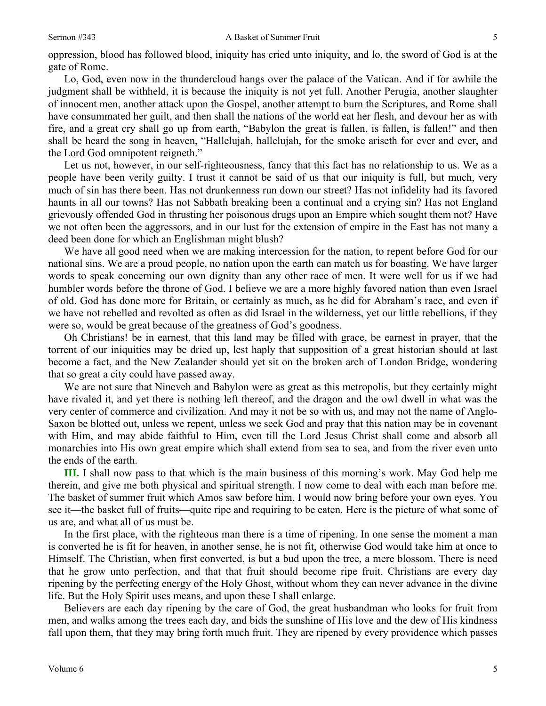5

oppression, blood has followed blood, iniquity has cried unto iniquity, and lo, the sword of God is at the gate of Rome.

Lo, God, even now in the thundercloud hangs over the palace of the Vatican. And if for awhile the judgment shall be withheld, it is because the iniquity is not yet full. Another Perugia, another slaughter of innocent men, another attack upon the Gospel, another attempt to burn the Scriptures, and Rome shall have consummated her guilt, and then shall the nations of the world eat her flesh, and devour her as with fire, and a great cry shall go up from earth, "Babylon the great is fallen, is fallen, is fallen!" and then shall be heard the song in heaven, "Hallelujah, hallelujah, for the smoke ariseth for ever and ever, and the Lord God omnipotent reigneth."

Let us not, however, in our self-righteousness, fancy that this fact has no relationship to us. We as a people have been verily guilty. I trust it cannot be said of us that our iniquity is full, but much, very much of sin has there been. Has not drunkenness run down our street? Has not infidelity had its favored haunts in all our towns? Has not Sabbath breaking been a continual and a crying sin? Has not England grievously offended God in thrusting her poisonous drugs upon an Empire which sought them not? Have we not often been the aggressors, and in our lust for the extension of empire in the East has not many a deed been done for which an Englishman might blush?

We have all good need when we are making intercession for the nation, to repent before God for our national sins. We are a proud people, no nation upon the earth can match us for boasting. We have larger words to speak concerning our own dignity than any other race of men. It were well for us if we had humbler words before the throne of God. I believe we are a more highly favored nation than even Israel of old. God has done more for Britain, or certainly as much, as he did for Abraham's race, and even if we have not rebelled and revolted as often as did Israel in the wilderness, yet our little rebellions, if they were so, would be great because of the greatness of God's goodness.

Oh Christians! be in earnest, that this land may be filled with grace, be earnest in prayer, that the torrent of our iniquities may be dried up, lest haply that supposition of a great historian should at last become a fact, and the New Zealander should yet sit on the broken arch of London Bridge, wondering that so great a city could have passed away.

We are not sure that Nineveh and Babylon were as great as this metropolis, but they certainly might have rivaled it, and yet there is nothing left thereof, and the dragon and the owl dwell in what was the very center of commerce and civilization. And may it not be so with us, and may not the name of Anglo-Saxon be blotted out, unless we repent, unless we seek God and pray that this nation may be in covenant with Him, and may abide faithful to Him, even till the Lord Jesus Christ shall come and absorb all monarchies into His own great empire which shall extend from sea to sea, and from the river even unto the ends of the earth.

**III.** I shall now pass to that which is the main business of this morning's work. May God help me therein, and give me both physical and spiritual strength. I now come to deal with each man before me. The basket of summer fruit which Amos saw before him, I would now bring before your own eyes. You see it—the basket full of fruits—quite ripe and requiring to be eaten. Here is the picture of what some of us are, and what all of us must be.

In the first place, with the righteous man there is a time of ripening. In one sense the moment a man is converted he is fit for heaven, in another sense, he is not fit, otherwise God would take him at once to Himself. The Christian, when first converted, is but a bud upon the tree, a mere blossom. There is need that he grow unto perfection, and that that fruit should become ripe fruit. Christians are every day ripening by the perfecting energy of the Holy Ghost, without whom they can never advance in the divine life. But the Holy Spirit uses means, and upon these I shall enlarge.

Believers are each day ripening by the care of God, the great husbandman who looks for fruit from men, and walks among the trees each day, and bids the sunshine of His love and the dew of His kindness fall upon them, that they may bring forth much fruit. They are ripened by every providence which passes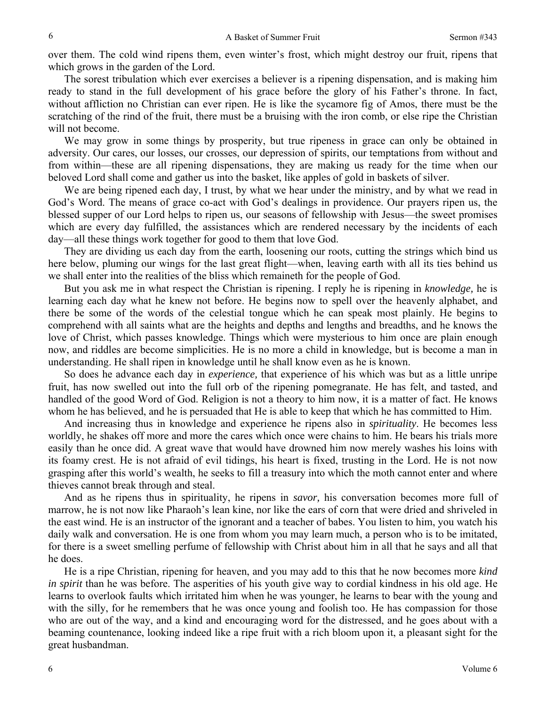over them. The cold wind ripens them, even winter's frost, which might destroy our fruit, ripens that which grows in the garden of the Lord.

The sorest tribulation which ever exercises a believer is a ripening dispensation, and is making him ready to stand in the full development of his grace before the glory of his Father's throne. In fact, without affliction no Christian can ever ripen. He is like the sycamore fig of Amos, there must be the scratching of the rind of the fruit, there must be a bruising with the iron comb, or else ripe the Christian will not become.

We may grow in some things by prosperity, but true ripeness in grace can only be obtained in adversity. Our cares, our losses, our crosses, our depression of spirits, our temptations from without and from within—these are all ripening dispensations, they are making us ready for the time when our beloved Lord shall come and gather us into the basket, like apples of gold in baskets of silver.

We are being ripened each day, I trust, by what we hear under the ministry, and by what we read in God's Word. The means of grace co-act with God's dealings in providence. Our prayers ripen us, the blessed supper of our Lord helps to ripen us, our seasons of fellowship with Jesus—the sweet promises which are every day fulfilled, the assistances which are rendered necessary by the incidents of each day—all these things work together for good to them that love God.

They are dividing us each day from the earth, loosening our roots, cutting the strings which bind us here below, pluming our wings for the last great flight—when, leaving earth with all its ties behind us we shall enter into the realities of the bliss which remaineth for the people of God.

But you ask me in what respect the Christian is ripening. I reply he is ripening in *knowledge,* he is learning each day what he knew not before. He begins now to spell over the heavenly alphabet, and there be some of the words of the celestial tongue which he can speak most plainly. He begins to comprehend with all saints what are the heights and depths and lengths and breadths, and he knows the love of Christ, which passes knowledge. Things which were mysterious to him once are plain enough now, and riddles are become simplicities. He is no more a child in knowledge, but is become a man in understanding. He shall ripen in knowledge until he shall know even as he is known.

So does he advance each day in *experience,* that experience of his which was but as a little unripe fruit, has now swelled out into the full orb of the ripening pomegranate. He has felt, and tasted, and handled of the good Word of God. Religion is not a theory to him now, it is a matter of fact. He knows whom he has believed, and he is persuaded that He is able to keep that which he has committed to Him.

And increasing thus in knowledge and experience he ripens also in *spirituality*. He becomes less worldly, he shakes off more and more the cares which once were chains to him. He bears his trials more easily than he once did. A great wave that would have drowned him now merely washes his loins with its foamy crest. He is not afraid of evil tidings, his heart is fixed, trusting in the Lord. He is not now grasping after this world's wealth, he seeks to fill a treasury into which the moth cannot enter and where thieves cannot break through and steal.

And as he ripens thus in spirituality, he ripens in *savor,* his conversation becomes more full of marrow, he is not now like Pharaoh's lean kine, nor like the ears of corn that were dried and shriveled in the east wind. He is an instructor of the ignorant and a teacher of babes. You listen to him, you watch his daily walk and conversation. He is one from whom you may learn much, a person who is to be imitated, for there is a sweet smelling perfume of fellowship with Christ about him in all that he says and all that he does.

He is a ripe Christian, ripening for heaven, and you may add to this that he now becomes more *kind in spirit* than he was before. The asperities of his youth give way to cordial kindness in his old age. He learns to overlook faults which irritated him when he was younger, he learns to bear with the young and with the silly, for he remembers that he was once young and foolish too. He has compassion for those who are out of the way, and a kind and encouraging word for the distressed, and he goes about with a beaming countenance, looking indeed like a ripe fruit with a rich bloom upon it, a pleasant sight for the great husbandman.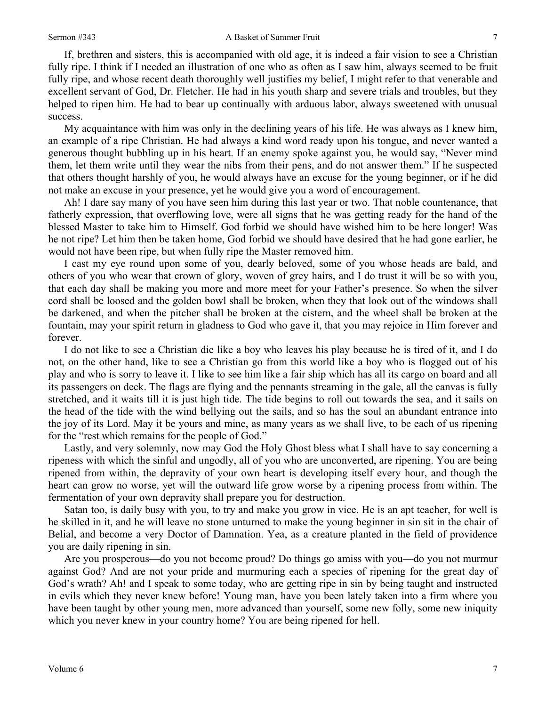If, brethren and sisters, this is accompanied with old age, it is indeed a fair vision to see a Christian fully ripe. I think if I needed an illustration of one who as often as I saw him, always seemed to be fruit fully ripe, and whose recent death thoroughly well justifies my belief, I might refer to that venerable and excellent servant of God, Dr. Fletcher. He had in his youth sharp and severe trials and troubles, but they helped to ripen him. He had to bear up continually with arduous labor, always sweetened with unusual success.

My acquaintance with him was only in the declining years of his life. He was always as I knew him, an example of a ripe Christian. He had always a kind word ready upon his tongue, and never wanted a generous thought bubbling up in his heart. If an enemy spoke against you, he would say, "Never mind them, let them write until they wear the nibs from their pens, and do not answer them." If he suspected that others thought harshly of you, he would always have an excuse for the young beginner, or if he did not make an excuse in your presence, yet he would give you a word of encouragement.

Ah! I dare say many of you have seen him during this last year or two. That noble countenance, that fatherly expression, that overflowing love, were all signs that he was getting ready for the hand of the blessed Master to take him to Himself. God forbid we should have wished him to be here longer! Was he not ripe? Let him then be taken home, God forbid we should have desired that he had gone earlier, he would not have been ripe, but when fully ripe the Master removed him.

I cast my eye round upon some of you, dearly beloved, some of you whose heads are bald, and others of you who wear that crown of glory, woven of grey hairs, and I do trust it will be so with you, that each day shall be making you more and more meet for your Father's presence. So when the silver cord shall be loosed and the golden bowl shall be broken, when they that look out of the windows shall be darkened, and when the pitcher shall be broken at the cistern, and the wheel shall be broken at the fountain, may your spirit return in gladness to God who gave it, that you may rejoice in Him forever and forever.

I do not like to see a Christian die like a boy who leaves his play because he is tired of it, and I do not, on the other hand, like to see a Christian go from this world like a boy who is flogged out of his play and who is sorry to leave it. I like to see him like a fair ship which has all its cargo on board and all its passengers on deck. The flags are flying and the pennants streaming in the gale, all the canvas is fully stretched, and it waits till it is just high tide. The tide begins to roll out towards the sea, and it sails on the head of the tide with the wind bellying out the sails, and so has the soul an abundant entrance into the joy of its Lord. May it be yours and mine, as many years as we shall live, to be each of us ripening for the "rest which remains for the people of God."

Lastly, and very solemnly, now may God the Holy Ghost bless what I shall have to say concerning a ripeness with which the sinful and ungodly, all of you who are unconverted, are ripening. You are being ripened from within, the depravity of your own heart is developing itself every hour, and though the heart can grow no worse, yet will the outward life grow worse by a ripening process from within. The fermentation of your own depravity shall prepare you for destruction.

Satan too, is daily busy with you, to try and make you grow in vice. He is an apt teacher, for well is he skilled in it, and he will leave no stone unturned to make the young beginner in sin sit in the chair of Belial, and become a very Doctor of Damnation. Yea, as a creature planted in the field of providence you are daily ripening in sin.

Are you prosperous—do you not become proud? Do things go amiss with you—do you not murmur against God? And are not your pride and murmuring each a species of ripening for the great day of God's wrath? Ah! and I speak to some today, who are getting ripe in sin by being taught and instructed in evils which they never knew before! Young man, have you been lately taken into a firm where you have been taught by other young men, more advanced than yourself, some new folly, some new iniquity which you never knew in your country home? You are being ripened for hell.

7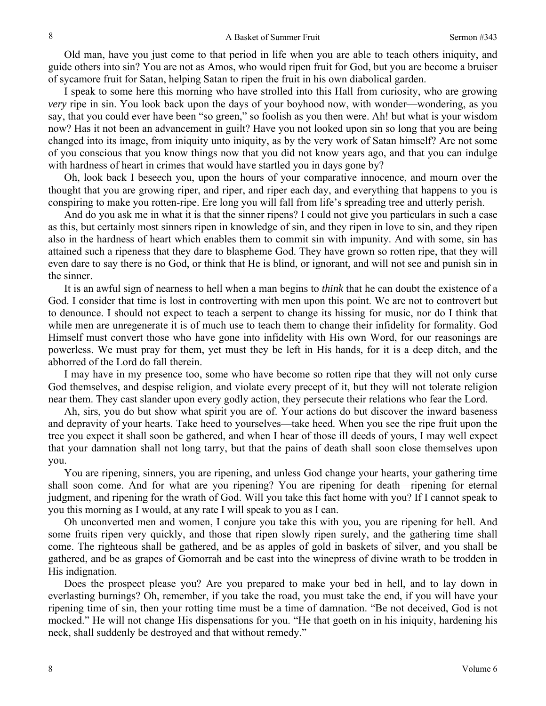Old man, have you just come to that period in life when you are able to teach others iniquity, and guide others into sin? You are not as Amos, who would ripen fruit for God, but you are become a bruiser of sycamore fruit for Satan, helping Satan to ripen the fruit in his own diabolical garden.

I speak to some here this morning who have strolled into this Hall from curiosity, who are growing *very* ripe in sin. You look back upon the days of your boyhood now, with wonder—wondering, as you say, that you could ever have been "so green," so foolish as you then were. Ah! but what is your wisdom now? Has it not been an advancement in guilt? Have you not looked upon sin so long that you are being changed into its image, from iniquity unto iniquity, as by the very work of Satan himself? Are not some of you conscious that you know things now that you did not know years ago, and that you can indulge with hardness of heart in crimes that would have startled you in days gone by?

Oh, look back I beseech you, upon the hours of your comparative innocence, and mourn over the thought that you are growing riper, and riper, and riper each day, and everything that happens to you is conspiring to make you rotten-ripe. Ere long you will fall from life's spreading tree and utterly perish.

And do you ask me in what it is that the sinner ripens? I could not give you particulars in such a case as this, but certainly most sinners ripen in knowledge of sin, and they ripen in love to sin, and they ripen also in the hardness of heart which enables them to commit sin with impunity. And with some, sin has attained such a ripeness that they dare to blaspheme God. They have grown so rotten ripe, that they will even dare to say there is no God, or think that He is blind, or ignorant, and will not see and punish sin in the sinner.

It is an awful sign of nearness to hell when a man begins to *think* that he can doubt the existence of a God. I consider that time is lost in controverting with men upon this point. We are not to controvert but to denounce. I should not expect to teach a serpent to change its hissing for music, nor do I think that while men are unregenerate it is of much use to teach them to change their infidelity for formality. God Himself must convert those who have gone into infidelity with His own Word, for our reasonings are powerless. We must pray for them, yet must they be left in His hands, for it is a deep ditch, and the abhorred of the Lord do fall therein.

I may have in my presence too, some who have become so rotten ripe that they will not only curse God themselves, and despise religion, and violate every precept of it, but they will not tolerate religion near them. They cast slander upon every godly action, they persecute their relations who fear the Lord.

Ah, sirs, you do but show what spirit you are of. Your actions do but discover the inward baseness and depravity of your hearts. Take heed to yourselves—take heed. When you see the ripe fruit upon the tree you expect it shall soon be gathered, and when I hear of those ill deeds of yours, I may well expect that your damnation shall not long tarry, but that the pains of death shall soon close themselves upon you.

You are ripening, sinners, you are ripening, and unless God change your hearts, your gathering time shall soon come. And for what are you ripening? You are ripening for death—ripening for eternal judgment, and ripening for the wrath of God. Will you take this fact home with you? If I cannot speak to you this morning as I would, at any rate I will speak to you as I can.

Oh unconverted men and women, I conjure you take this with you, you are ripening for hell. And some fruits ripen very quickly, and those that ripen slowly ripen surely, and the gathering time shall come. The righteous shall be gathered, and be as apples of gold in baskets of silver, and you shall be gathered, and be as grapes of Gomorrah and be cast into the winepress of divine wrath to be trodden in His indignation.

Does the prospect please you? Are you prepared to make your bed in hell, and to lay down in everlasting burnings? Oh, remember, if you take the road, you must take the end, if you will have your ripening time of sin, then your rotting time must be a time of damnation. "Be not deceived, God is not mocked." He will not change His dispensations for you. "He that goeth on in his iniquity, hardening his neck, shall suddenly be destroyed and that without remedy."